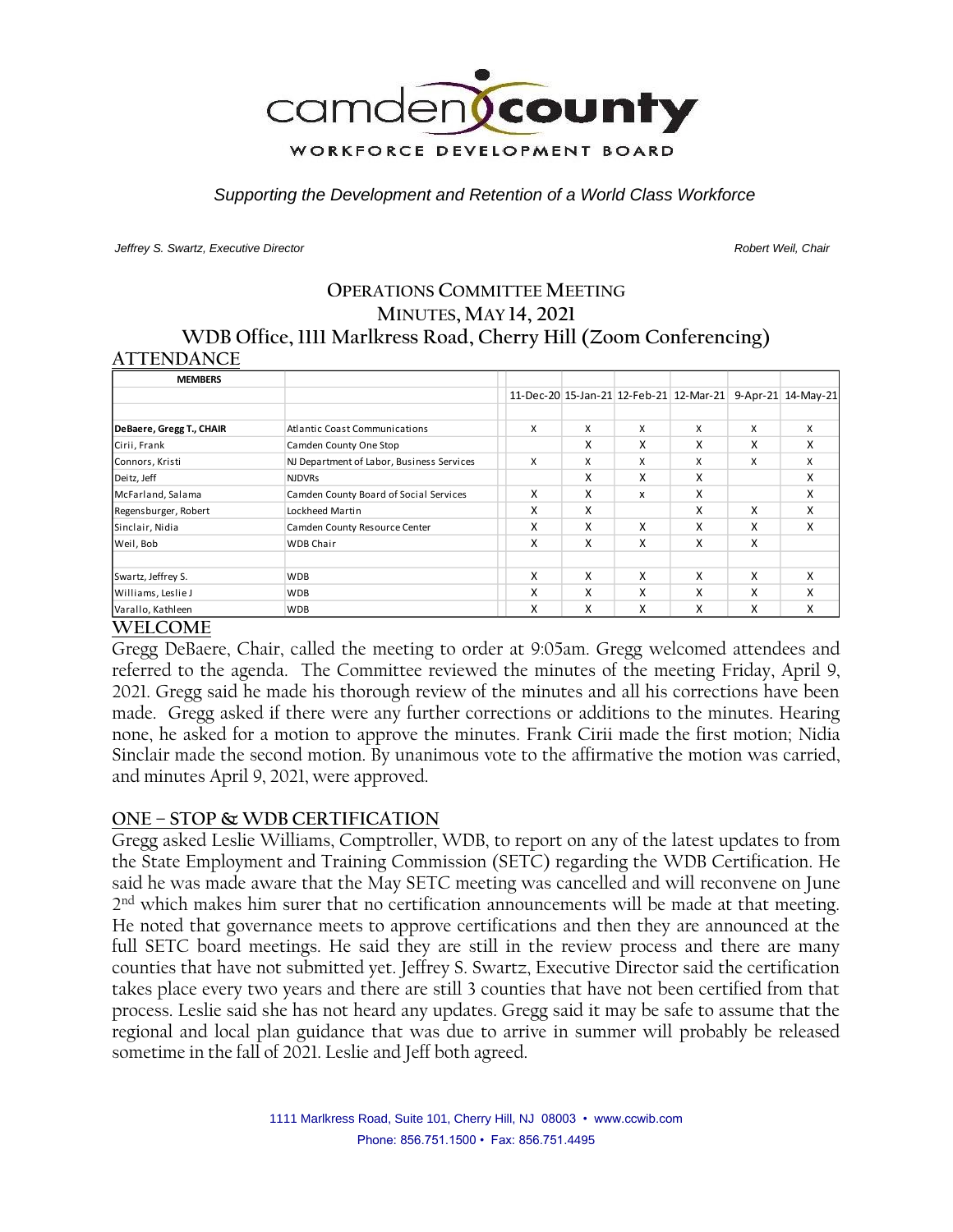

*Supporting the Development and Retention of a World Class Workforce*

*Jeffrey S. Swartz, Executive Director Robert Weil, Chair* 

### **OPERATIONS COMMITTEE MEETING MINUTES, MAY 14, 2021 WDB Office, 1111 Marlkress Road, Cherry Hill (Zoom Conferencing) ATTENDANCE**

| <b>MEMBERS</b>           |                                           |   |   |   |                                         |   |                    |
|--------------------------|-------------------------------------------|---|---|---|-----------------------------------------|---|--------------------|
|                          |                                           |   |   |   | 11-Dec-20 15-Jan-21 12-Feb-21 12-Mar-21 |   | 9-Apr-21 14-May-21 |
|                          |                                           |   |   |   |                                         |   |                    |
| DeBaere, Gregg T., CHAIR | <b>Atlantic Coast Communications</b>      | x | x | X | X                                       | x | X                  |
| Cirii, Frank             | Camden County One Stop                    |   | x | X | x                                       | x | X                  |
| Connors, Kristi          | NJ Department of Labor, Business Services | x | x | x | X                                       | x | x                  |
| Deitz, Jeff              | <b>NJDVRs</b>                             |   | x | X | X                                       |   | x                  |
| McFarland, Salama        | Camden County Board of Social Services    | x | x | x | x                                       |   | x                  |
| Regensburger, Robert     | Lockheed Martin                           | x | x |   | X                                       | x | x                  |
| Sinclair, Nidia          | Camden County Resource Center             | X | x | X | x                                       | x | X                  |
| Weil, Bob                | <b>WDB Chair</b>                          | x | x | X | x                                       | x |                    |
|                          |                                           |   |   |   |                                         |   |                    |
| Swartz, Jeffrey S.       | <b>WDB</b>                                | X | x | x | X                                       | x | X                  |
| Williams, Leslie J       | <b>WDB</b>                                | X | x | X | x                                       | x | X                  |
| Varallo, Kathleen        | <b>WDB</b>                                | x | x | x | x                                       | x | X                  |

#### **WELCOME**

Gregg DeBaere, Chair, called the meeting to order at 9:05am. Gregg welcomed attendees and referred to the agenda. The Committee reviewed the minutes of the meeting Friday, April 9, 2021. Gregg said he made his thorough review of the minutes and all his corrections have been made. Gregg asked if there were any further corrections or additions to the minutes. Hearing none, he asked for a motion to approve the minutes. Frank Cirii made the first motion; Nidia Sinclair made the second motion. By unanimous vote to the affirmative the motion was carried, and minutes April 9, 2021, were approved.

## **ONE – STOP & WDB CERTIFICATION**

Gregg asked Leslie Williams, Comptroller, WDB, to report on any of the latest updates to from the State Employment and Training Commission (SETC) regarding the WDB Certification. He said he was made aware that the May SETC meeting was cancelled and will reconvene on June 2 nd which makes him surer that no certification announcements will be made at that meeting. He noted that governance meets to approve certifications and then they are announced at the full SETC board meetings. He said they are still in the review process and there are many counties that have not submitted yet. Jeffrey S. Swartz, Executive Director said the certification takes place every two years and there are still 3 counties that have not been certified from that process. Leslie said she has not heard any updates. Gregg said it may be safe to assume that the regional and local plan guidance that was due to arrive in summer will probably be released sometime in the fall of 2021. Leslie and Jeff both agreed.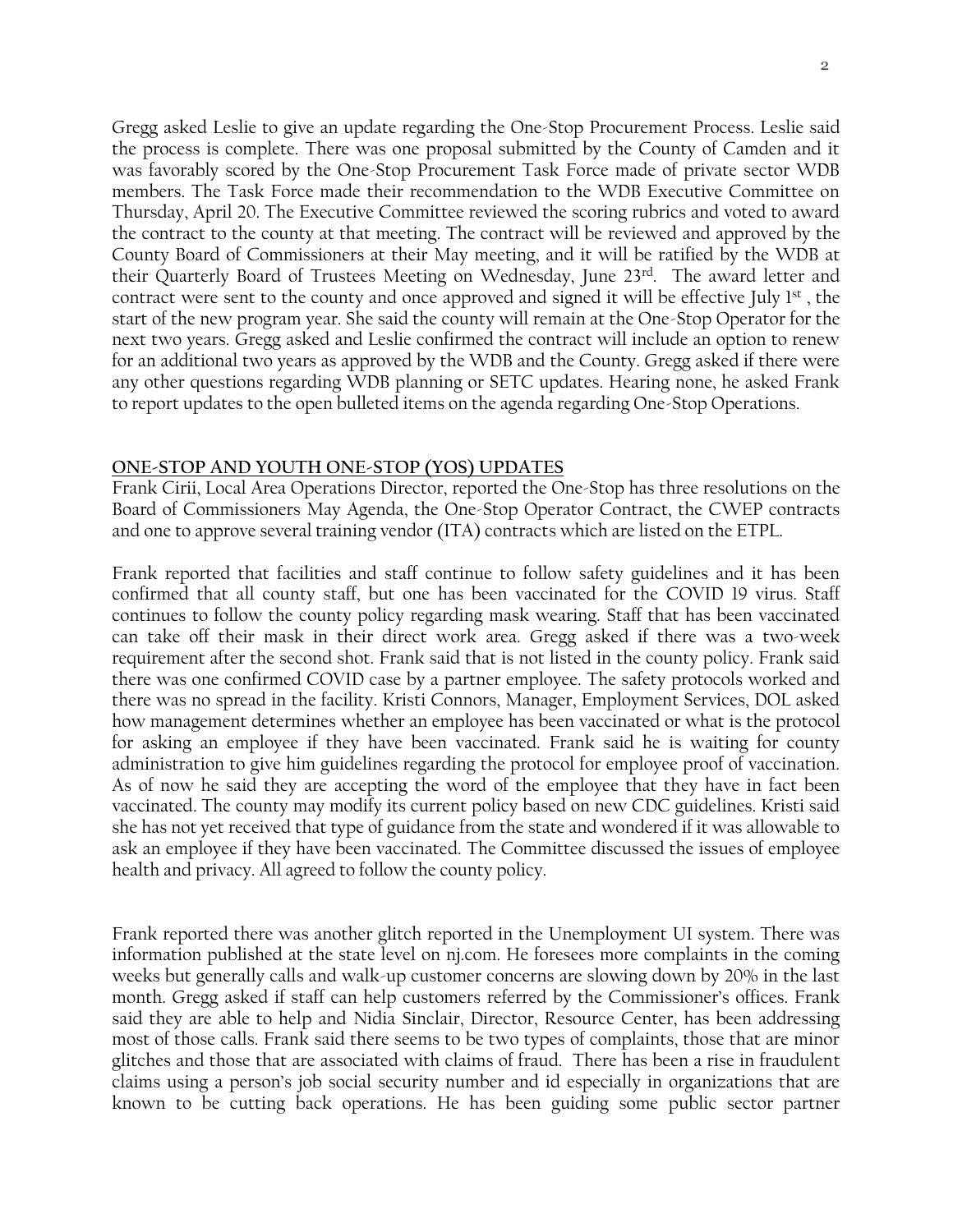Gregg asked Leslie to give an update regarding the One-Stop Procurement Process. Leslie said the process is complete. There was one proposal submitted by the County of Camden and it was favorably scored by the One-Stop Procurement Task Force made of private sector WDB members. The Task Force made their recommendation to the WDB Executive Committee on Thursday, April 20. The Executive Committee reviewed the scoring rubrics and voted to award the contract to the county at that meeting. The contract will be reviewed and approved by the County Board of Commissioners at their May meeting, and it will be ratified by the WDB at their Quarterly Board of Trustees Meeting on Wednesday, June 23<sup>rd</sup>. The award letter and contract were sent to the county and once approved and signed it will be effective July  $1<sup>st</sup>$ , the start of the new program year. She said the county will remain at the One-Stop Operator for the next two years. Gregg asked and Leslie confirmed the contract will include an option to renew for an additional two years as approved by the WDB and the County. Gregg asked if there were any other questions regarding WDB planning or SETC updates. Hearing none, he asked Frank to report updates to the open bulleted items on the agenda regarding One-Stop Operations.

#### **ONE-STOP AND YOUTH ONE-STOP (YOS) UPDATES**

Frank Cirii, Local Area Operations Director, reported the One-Stop has three resolutions on the Board of Commissioners May Agenda, the One-Stop Operator Contract, the CWEP contracts and one to approve several training vendor (ITA) contracts which are listed on the ETPL.

Frank reported that facilities and staff continue to follow safety guidelines and it has been confirmed that all county staff, but one has been vaccinated for the COVID 19 virus. Staff continues to follow the county policy regarding mask wearing. Staff that has been vaccinated can take off their mask in their direct work area. Gregg asked if there was a two-week requirement after the second shot. Frank said that is not listed in the county policy. Frank said there was one confirmed COVID case by a partner employee. The safety protocols worked and there was no spread in the facility. Kristi Connors, Manager, Employment Services, DOL asked how management determines whether an employee has been vaccinated or what is the protocol for asking an employee if they have been vaccinated. Frank said he is waiting for county administration to give him guidelines regarding the protocol for employee proof of vaccination. As of now he said they are accepting the word of the employee that they have in fact been vaccinated. The county may modify its current policy based on new CDC guidelines. Kristi said she has not yet received that type of guidance from the state and wondered if it was allowable to ask an employee if they have been vaccinated. The Committee discussed the issues of employee health and privacy. All agreed to follow the county policy.

Frank reported there was another glitch reported in the Unemployment UI system. There was information published at the state level on nj.com. He foresees more complaints in the coming weeks but generally calls and walk-up customer concerns are slowing down by 20% in the last month. Gregg asked if staff can help customers referred by the Commissioner's offices. Frank said they are able to help and Nidia Sinclair, Director, Resource Center, has been addressing most of those calls. Frank said there seems to be two types of complaints, those that are minor glitches and those that are associated with claims of fraud. There has been a rise in fraudulent claims using a person's job social security number and id especially in organizations that are known to be cutting back operations. He has been guiding some public sector partner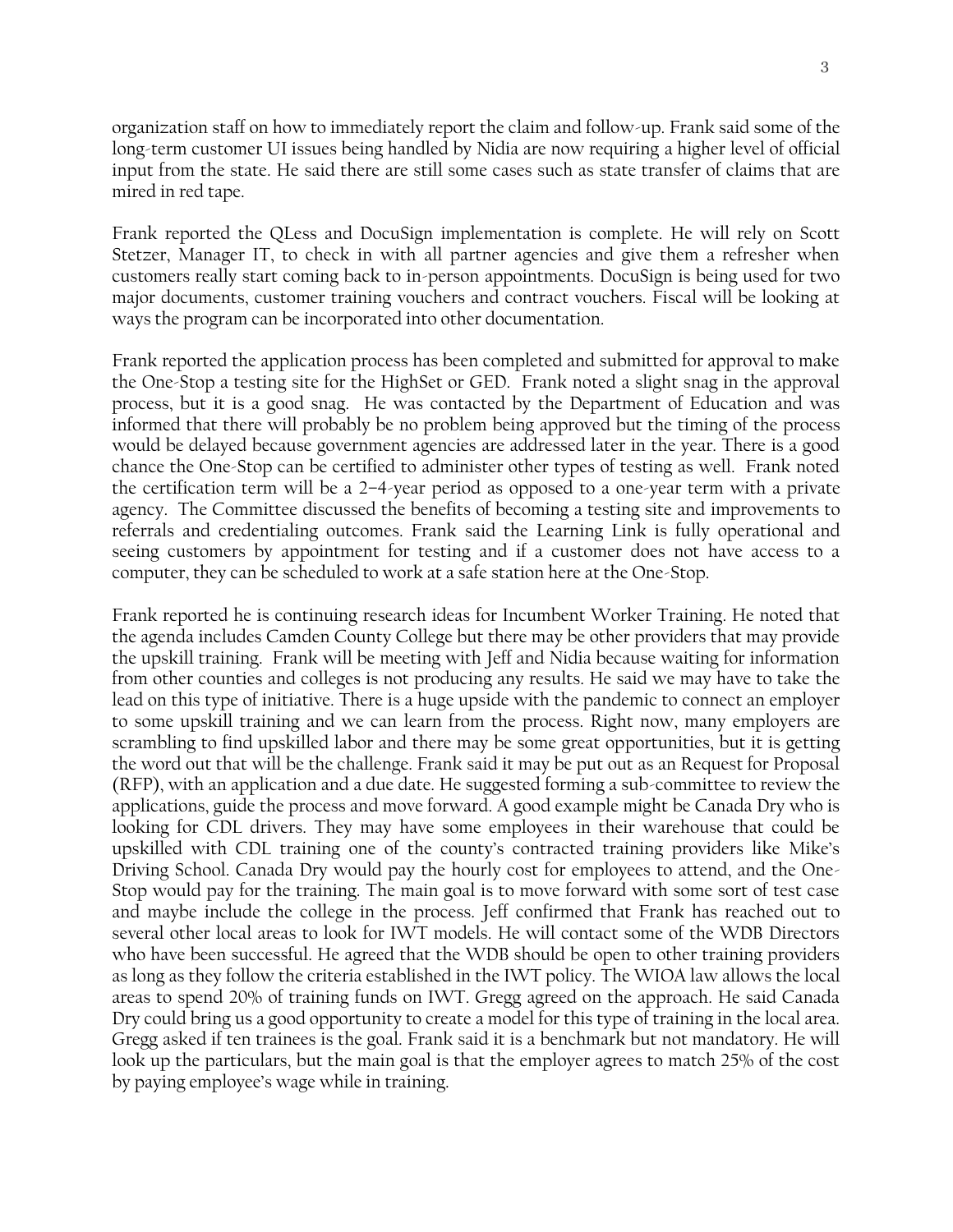organization staff on how to immediately report the claim and follow-up. Frank said some of the long-term customer UI issues being handled by Nidia are now requiring a higher level of official input from the state. He said there are still some cases such as state transfer of claims that are mired in red tape.

Frank reported the QLess and DocuSign implementation is complete. He will rely on Scott Stetzer, Manager IT, to check in with all partner agencies and give them a refresher when customers really start coming back to in-person appointments. DocuSign is being used for two major documents, customer training vouchers and contract vouchers. Fiscal will be looking at ways the program can be incorporated into other documentation.

Frank reported the application process has been completed and submitted for approval to make the One-Stop a testing site for the HighSet or GED. Frank noted a slight snag in the approval process, but it is a good snag. He was contacted by the Department of Education and was informed that there will probably be no problem being approved but the timing of the process would be delayed because government agencies are addressed later in the year. There is a good chance the One-Stop can be certified to administer other types of testing as well. Frank noted the certification term will be a 2–4-year period as opposed to a one-year term with a private agency. The Committee discussed the benefits of becoming a testing site and improvements to referrals and credentialing outcomes. Frank said the Learning Link is fully operational and seeing customers by appointment for testing and if a customer does not have access to a computer, they can be scheduled to work at a safe station here at the One-Stop.

Frank reported he is continuing research ideas for Incumbent Worker Training. He noted that the agenda includes Camden County College but there may be other providers that may provide the upskill training. Frank will be meeting with Jeff and Nidia because waiting for information from other counties and colleges is not producing any results. He said we may have to take the lead on this type of initiative. There is a huge upside with the pandemic to connect an employer to some upskill training and we can learn from the process. Right now, many employers are scrambling to find upskilled labor and there may be some great opportunities, but it is getting the word out that will be the challenge. Frank said it may be put out as an Request for Proposal (RFP), with an application and a due date. He suggested forming a sub-committee to review the applications, guide the process and move forward. A good example might be Canada Dry who is looking for CDL drivers. They may have some employees in their warehouse that could be upskilled with CDL training one of the county's contracted training providers like Mike's Driving School. Canada Dry would pay the hourly cost for employees to attend, and the One-Stop would pay for the training. The main goal is to move forward with some sort of test case and maybe include the college in the process. Jeff confirmed that Frank has reached out to several other local areas to look for IWT models. He will contact some of the WDB Directors who have been successful. He agreed that the WDB should be open to other training providers as long as they follow the criteria established in the IWT policy. The WIOA law allows the local areas to spend 20% of training funds on IWT. Gregg agreed on the approach. He said Canada Dry could bring us a good opportunity to create a model for this type of training in the local area. Gregg asked if ten trainees is the goal. Frank said it is a benchmark but not mandatory. He will look up the particulars, but the main goal is that the employer agrees to match 25% of the cost by paying employee's wage while in training.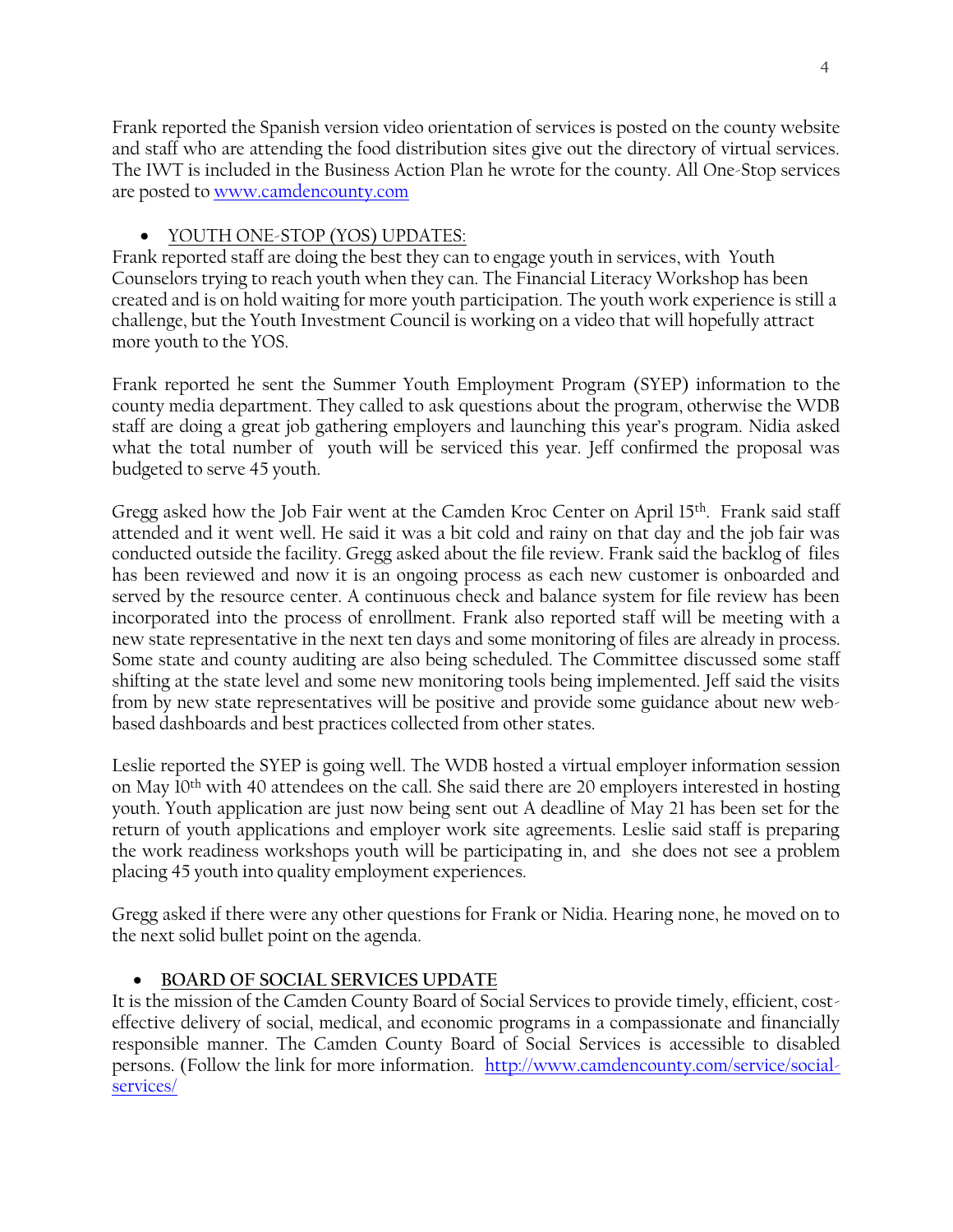Frank reported the Spanish version video orientation of services is posted on the county website and staff who are attending the food distribution sites give out the directory of virtual services. The IWT is included in the Business Action Plan he wrote for the county. All One-Stop services are posted to [www.camdencounty.com](http://www.camdencounty.com/)

## • YOUTH ONE-STOP (YOS) UPDATES:

Frank reported staff are doing the best they can to engage youth in services, with Youth Counselors trying to reach youth when they can. The Financial Literacy Workshop has been created and is on hold waiting for more youth participation. The youth work experience is still a challenge, but the Youth Investment Council is working on a video that will hopefully attract more youth to the YOS.

Frank reported he sent the Summer Youth Employment Program (SYEP) information to the county media department. They called to ask questions about the program, otherwise the WDB staff are doing a great job gathering employers and launching this year's program. Nidia asked what the total number of youth will be serviced this year. Jeff confirmed the proposal was budgeted to serve 45 youth.

Gregg asked how the Job Fair went at the Camden Kroc Center on April 15<sup>th</sup>. Frank said staff attended and it went well. He said it was a bit cold and rainy on that day and the job fair was conducted outside the facility. Gregg asked about the file review. Frank said the backlog of files has been reviewed and now it is an ongoing process as each new customer is onboarded and served by the resource center. A continuous check and balance system for file review has been incorporated into the process of enrollment. Frank also reported staff will be meeting with a new state representative in the next ten days and some monitoring of files are already in process. Some state and county auditing are also being scheduled. The Committee discussed some staff shifting at the state level and some new monitoring tools being implemented. Jeff said the visits from by new state representatives will be positive and provide some guidance about new webbased dashboards and best practices collected from other states.

Leslie reported the SYEP is going well. The WDB hosted a virtual employer information session on May 10<sup>th</sup> with 40 attendees on the call. She said there are 20 employers interested in hosting youth. Youth application are just now being sent out A deadline of May 21 has been set for the return of youth applications and employer work site agreements. Leslie said staff is preparing the work readiness workshops youth will be participating in, and she does not see a problem placing 45 youth into quality employment experiences.

Gregg asked if there were any other questions for Frank or Nidia. Hearing none, he moved on to the next solid bullet point on the agenda.

# • **BOARD OF SOCIAL SERVICES UPDATE**

It is the mission of the Camden County Board of Social Services to provide timely, efficient, costeffective delivery of social, medical, and economic programs in a compassionate and financially responsible manner. The Camden County Board of Social Services is accessible to disabled persons. (Follow the link for more information. [http://www.camdencounty.com/service/social](http://www.camdencounty.com/service/social-services/)[services/](http://www.camdencounty.com/service/social-services/)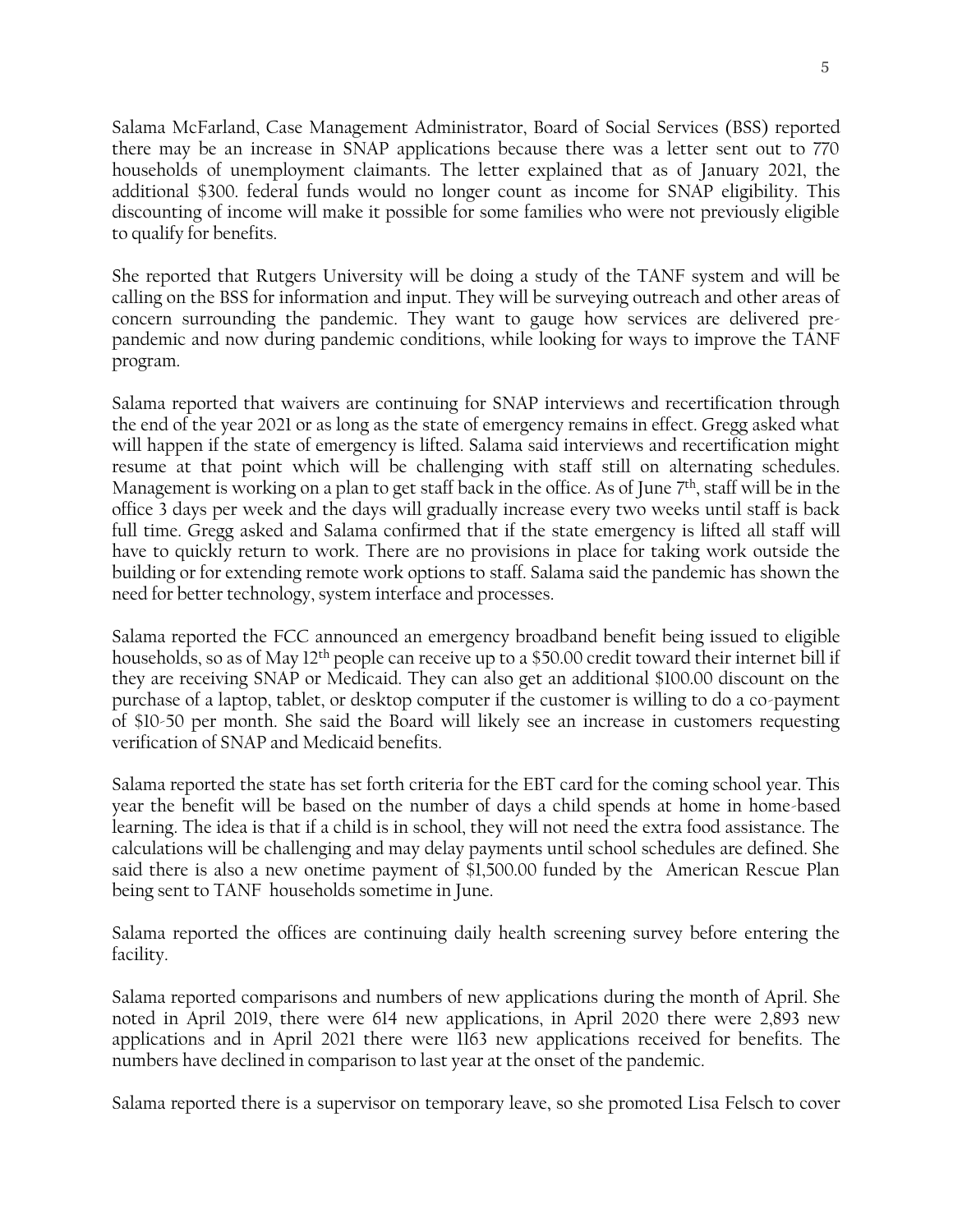5

Salama McFarland, Case Management Administrator, Board of Social Services (BSS) reported there may be an increase in SNAP applications because there was a letter sent out to 770 households of unemployment claimants. The letter explained that as of January 2021, the additional \$300. federal funds would no longer count as income for SNAP eligibility. This discounting of income will make it possible for some families who were not previously eligible to qualify for benefits.

She reported that Rutgers University will be doing a study of the TANF system and will be calling on the BSS for information and input. They will be surveying outreach and other areas of concern surrounding the pandemic. They want to gauge how services are delivered prepandemic and now during pandemic conditions, while looking for ways to improve the TANF program.

Salama reported that waivers are continuing for SNAP interviews and recertification through the end of the year 2021 or as long as the state of emergency remains in effect. Gregg asked what will happen if the state of emergency is lifted. Salama said interviews and recertification might resume at that point which will be challenging with staff still on alternating schedules. Management is working on a plan to get staff back in the office. As of June 7 th, staff will be in the office 3 days per week and the days will gradually increase every two weeks until staff is back full time. Gregg asked and Salama confirmed that if the state emergency is lifted all staff will have to quickly return to work. There are no provisions in place for taking work outside the building or for extending remote work options to staff. Salama said the pandemic has shown the need for better technology, system interface and processes.

Salama reported the FCC announced an emergency broadband benefit being issued to eligible households, so as of May 12<sup>th</sup> people can receive up to a \$50.00 credit toward their internet bill if they are receiving SNAP or Medicaid. They can also get an additional \$100.00 discount on the purchase of a laptop, tablet, or desktop computer if the customer is willing to do a co-payment of \$10-50 per month. She said the Board will likely see an increase in customers requesting verification of SNAP and Medicaid benefits.

Salama reported the state has set forth criteria for the EBT card for the coming school year. This year the benefit will be based on the number of days a child spends at home in home-based learning. The idea is that if a child is in school, they will not need the extra food assistance. The calculations will be challenging and may delay payments until school schedules are defined. She said there is also a new onetime payment of \$1,500.00 funded by the American Rescue Plan being sent to TANF households sometime in June.

Salama reported the offices are continuing daily health screening survey before entering the facility.

Salama reported comparisons and numbers of new applications during the month of April. She noted in April 2019, there were 614 new applications, in April 2020 there were 2,893 new applications and in April 2021 there were 1163 new applications received for benefits. The numbers have declined in comparison to last year at the onset of the pandemic.

Salama reported there is a supervisor on temporary leave, so she promoted Lisa Felsch to cover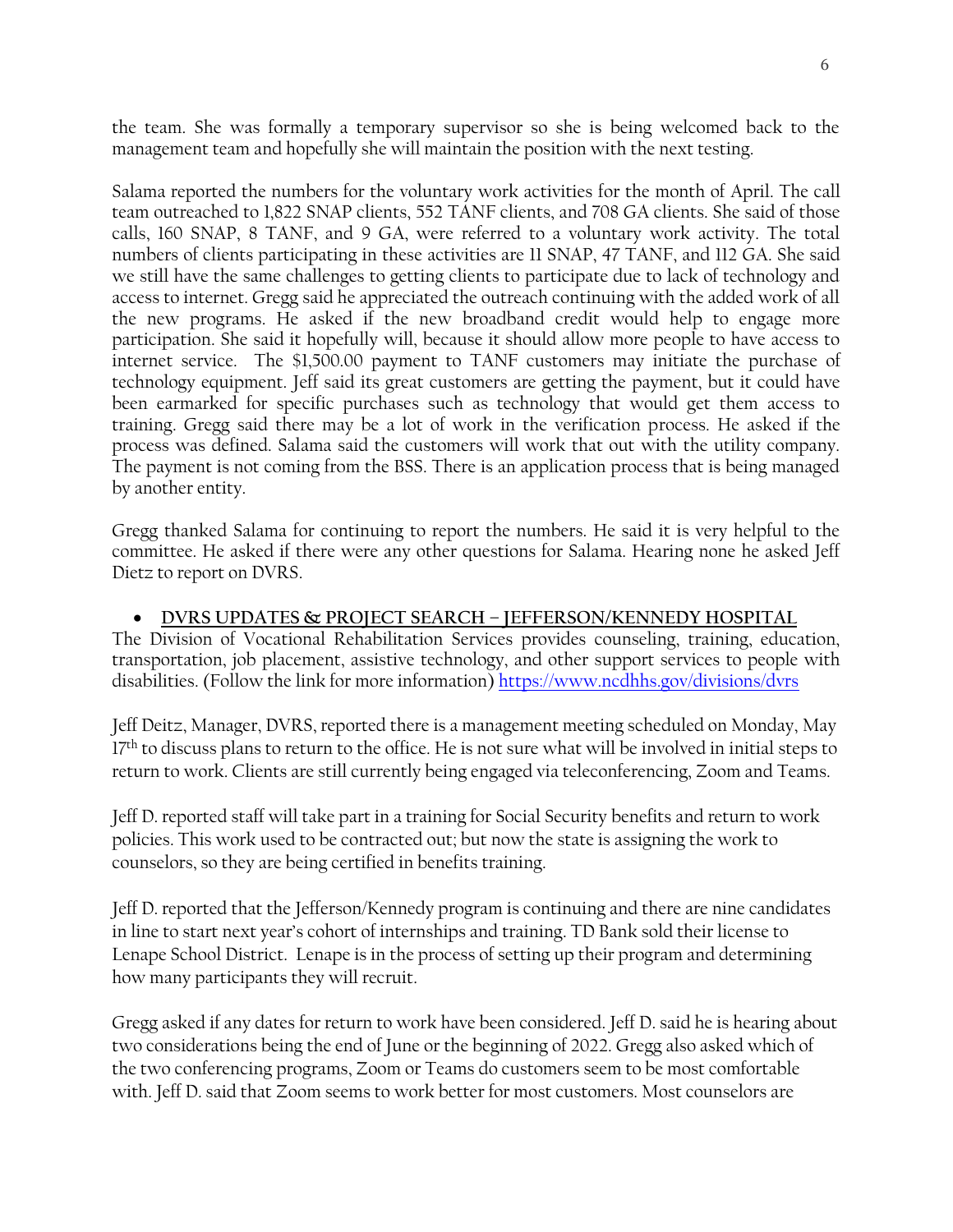the team. She was formally a temporary supervisor so she is being welcomed back to the management team and hopefully she will maintain the position with the next testing.

Salama reported the numbers for the voluntary work activities for the month of April. The call team outreached to 1,822 SNAP clients, 552 TANF clients, and 708 GA clients. She said of those calls, 160 SNAP, 8 TANF, and 9 GA, were referred to a voluntary work activity. The total numbers of clients participating in these activities are 11 SNAP, 47 TANF, and 112 GA. She said we still have the same challenges to getting clients to participate due to lack of technology and access to internet. Gregg said he appreciated the outreach continuing with the added work of all the new programs. He asked if the new broadband credit would help to engage more participation. She said it hopefully will, because it should allow more people to have access to internet service. The \$1,500.00 payment to TANF customers may initiate the purchase of technology equipment. Jeff said its great customers are getting the payment, but it could have been earmarked for specific purchases such as technology that would get them access to training. Gregg said there may be a lot of work in the verification process. He asked if the process was defined. Salama said the customers will work that out with the utility company. The payment is not coming from the BSS. There is an application process that is being managed by another entity.

Gregg thanked Salama for continuing to report the numbers. He said it is very helpful to the committee. He asked if there were any other questions for Salama. Hearing none he asked Jeff Dietz to report on DVRS.

#### • **DVRS UPDATES & PROJECT SEARCH – JEFFERSON/KENNEDY HOSPITAL**

The Division of Vocational Rehabilitation Services provides counseling, training, education, transportation, job placement, assistive technology, and other support services to people with disabilities. (Follow the link for more information) <https://www.ncdhhs.gov/divisions/dvrs>

Jeff Deitz, Manager, DVRS, reported there is a management meeting scheduled on Monday, May 17<sup>th</sup> to discuss plans to return to the office. He is not sure what will be involved in initial steps to return to work. Clients are still currently being engaged via teleconferencing, Zoom and Teams.

Jeff D. reported staff will take part in a training for Social Security benefits and return to work policies. This work used to be contracted out; but now the state is assigning the work to counselors, so they are being certified in benefits training.

Jeff D. reported that the Jefferson/Kennedy program is continuing and there are nine candidates in line to start next year's cohort of internships and training. TD Bank sold their license to Lenape School District. Lenape is in the process of setting up their program and determining how many participants they will recruit.

Gregg asked if any dates for return to work have been considered. Jeff D. said he is hearing about two considerations being the end of June or the beginning of 2022. Gregg also asked which of the two conferencing programs, Zoom or Teams do customers seem to be most comfortable with. Jeff D. said that Zoom seems to work better for most customers. Most counselors are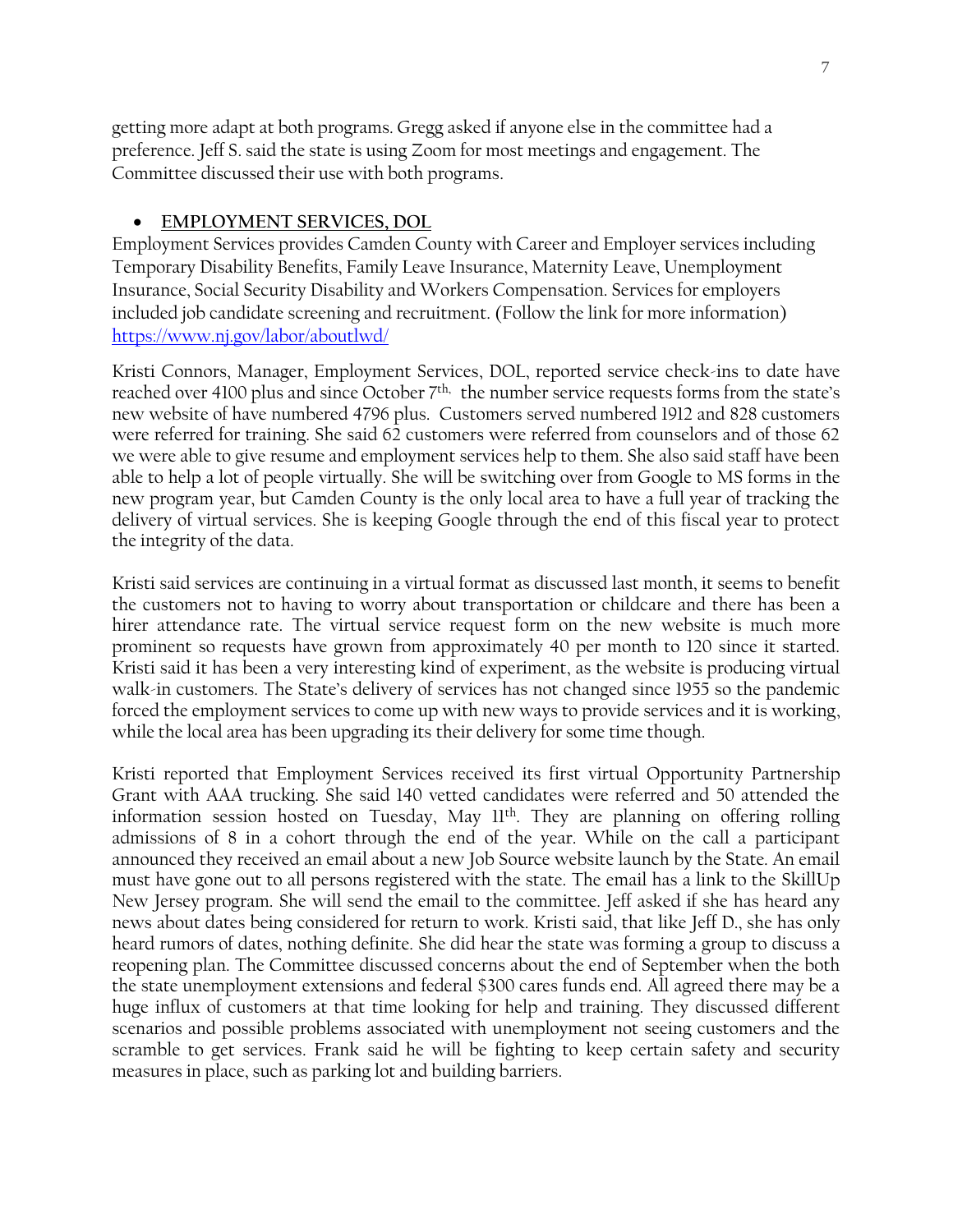getting more adapt at both programs. Gregg asked if anyone else in the committee had a preference. Jeff S. said the state is using Zoom for most meetings and engagement. The Committee discussed their use with both programs.

#### • **EMPLOYMENT SERVICES, DOL**

Employment Services provides Camden County with Career and Employer services including Temporary Disability Benefits, Family Leave Insurance, Maternity Leave, Unemployment Insurance, Social Security Disability and Workers Compensation. Services for employers included job candidate screening and recruitment. (Follow the link for more information) <https://www.nj.gov/labor/aboutlwd/>

Kristi Connors, Manager, Employment Services, DOL, reported service check-ins to date have reached over 4100 plus and since October 7<sup>th,</sup> the number service requests forms from the state's new website of have numbered 4796 plus. Customers served numbered 1912 and 828 customers were referred for training. She said 62 customers were referred from counselors and of those 62 we were able to give resume and employment services help to them. She also said staff have been able to help a lot of people virtually. She will be switching over from Google to MS forms in the new program year, but Camden County is the only local area to have a full year of tracking the delivery of virtual services. She is keeping Google through the end of this fiscal year to protect the integrity of the data.

Kristi said services are continuing in a virtual format as discussed last month, it seems to benefit the customers not to having to worry about transportation or childcare and there has been a hirer attendance rate. The virtual service request form on the new website is much more prominent so requests have grown from approximately 40 per month to 120 since it started. Kristi said it has been a very interesting kind of experiment, as the website is producing virtual walk-in customers. The State's delivery of services has not changed since 1955 so the pandemic forced the employment services to come up with new ways to provide services and it is working, while the local area has been upgrading its their delivery for some time though.

Kristi reported that Employment Services received its first virtual Opportunity Partnership Grant with AAA trucking. She said 140 vetted candidates were referred and 50 attended the information session hosted on Tuesday, May 11th. They are planning on offering rolling admissions of 8 in a cohort through the end of the year. While on the call a participant announced they received an email about a new Job Source website launch by the State. An email must have gone out to all persons registered with the state. The email has a link to the SkillUp New Jersey program. She will send the email to the committee. Jeff asked if she has heard any news about dates being considered for return to work. Kristi said, that like Jeff D., she has only heard rumors of dates, nothing definite. She did hear the state was forming a group to discuss a reopening plan. The Committee discussed concerns about the end of September when the both the state unemployment extensions and federal \$300 cares funds end. All agreed there may be a huge influx of customers at that time looking for help and training. They discussed different scenarios and possible problems associated with unemployment not seeing customers and the scramble to get services. Frank said he will be fighting to keep certain safety and security measures in place, such as parking lot and building barriers.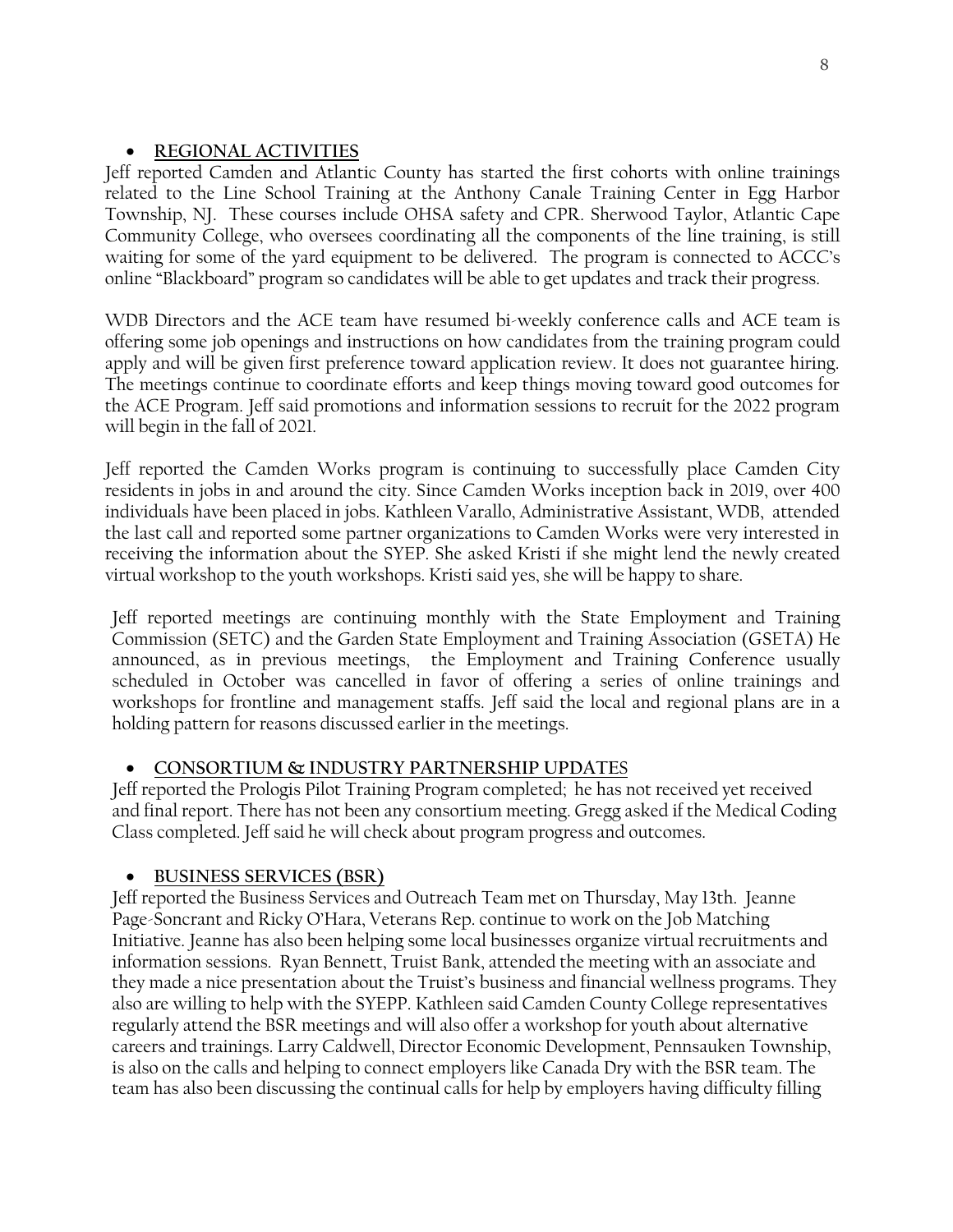## • **REGIONAL ACTIVITIES**

Jeff reported Camden and Atlantic County has started the first cohorts with online trainings related to the Line School Training at the Anthony Canale Training Center in Egg Harbor Township, NJ. These courses include OHSA safety and CPR. Sherwood Taylor, Atlantic Cape Community College, who oversees coordinating all the components of the line training, is still waiting for some of the yard equipment to be delivered. The program is connected to ACCC's online "Blackboard" program so candidates will be able to get updates and track their progress.

WDB Directors and the ACE team have resumed bi-weekly conference calls and ACE team is offering some job openings and instructions on how candidates from the training program could apply and will be given first preference toward application review. It does not guarantee hiring. The meetings continue to coordinate efforts and keep things moving toward good outcomes for the ACE Program. Jeff said promotions and information sessions to recruit for the 2022 program will begin in the fall of 2021.

Jeff reported the Camden Works program is continuing to successfully place Camden City residents in jobs in and around the city. Since Camden Works inception back in 2019, over 400 individuals have been placed in jobs. Kathleen Varallo, Administrative Assistant, WDB, attended the last call and reported some partner organizations to Camden Works were very interested in receiving the information about the SYEP. She asked Kristi if she might lend the newly created virtual workshop to the youth workshops. Kristi said yes, she will be happy to share.

Jeff reported meetings are continuing monthly with the State Employment and Training Commission (SETC) and the Garden State Employment and Training Association (GSETA) He announced, as in previous meetings, the Employment and Training Conference usually scheduled in October was cancelled in favor of offering a series of online trainings and workshops for frontline and management staffs. Jeff said the local and regional plans are in a holding pattern for reasons discussed earlier in the meetings.

## • **CONSORTIUM & INDUSTRY PARTNERSHIP UPDATE**S

Jeff reported the Prologis Pilot Training Program completed; he has not received yet received and final report. There has not been any consortium meeting. Gregg asked if the Medical Coding Class completed. Jeff said he will check about program progress and outcomes.

# • **BUSINESS SERVICES (BSR)**

Jeff reported the Business Services and Outreach Team met on Thursday, May 13th. Jeanne Page-Soncrant and Ricky O'Hara, Veterans Rep. continue to work on the Job Matching Initiative. Jeanne has also been helping some local businesses organize virtual recruitments and information sessions. Ryan Bennett, Truist Bank, attended the meeting with an associate and they made a nice presentation about the Truist's business and financial wellness programs. They also are willing to help with the SYEPP. Kathleen said Camden County College representatives regularly attend the BSR meetings and will also offer a workshop for youth about alternative careers and trainings. Larry Caldwell, Director Economic Development, Pennsauken Township, is also on the calls and helping to connect employers like Canada Dry with the BSR team. The team has also been discussing the continual calls for help by employers having difficulty filling